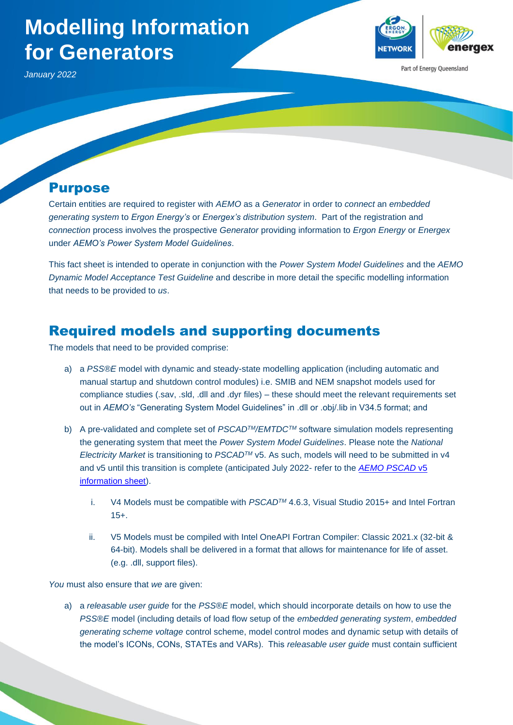# **Modelling Information for Generators**



Part of Energy Queensland

*January 2022*

#### Purpose

Certain entities are required to register with *AEMO* as a *Generator* in order to *connect* an *embedded generating system* to *Ergon Energy's* or *Energex's distribution system*. Part of the registration and *connection* process involves the prospective *Generator* providing information to *Ergon Energy* or *Energex* under *AEMO's Power System Model Guidelines*.

This fact sheet is intended to operate in conjunction with the *Power System Model Guidelines* and the *AEMO Dynamic Model Acceptance Test Guideline* and describe in more detail the specific modelling information that needs to be provided to *us*.

## Required models and supporting documents

The models that need to be provided comprise:

- a) a *PSS®E* model with dynamic and steady-state modelling application (including automatic and manual startup and shutdown control modules) i.e. SMIB and NEM snapshot models used for compliance studies (.sav, .sld, .dll and .dyr files) – these should meet the relevant requirements set out in *AEMO's* "Generating System Model Guidelines" in .dll or .obj/.lib in V34.5 format; and
- b) A pre-validated and complete set of *PSCADTM/EMTDCTM* software simulation models representing the generating system that meet the *Power System Model Guidelines*. Please note the *National Electricity Market* is transitioning to *PSCADTM* v5. As such, models will need to be submitted in v4 and v5 until this transition is complete (anticipated July 2022- refer to the *AEMO [PSCAD](https://aemo.com.au/-/media/files/electricity/nem/network_connections/pscadv5---information-sheet.pdf?la=en&hash=3EE8C38F477410BA52BC7EDA476DBF59)* v5 [information sheet\)](https://aemo.com.au/-/media/files/electricity/nem/network_connections/pscadv5---information-sheet.pdf?la=en&hash=3EE8C38F477410BA52BC7EDA476DBF59).
	- i. V4 Models must be compatible with *PSCADTM* 4.6.3, Visual Studio 2015+ and Intel Fortran 15+.
	- ii. V5 Models must be compiled with Intel OneAPI Fortran Compiler: Classic 2021.x (32-bit & 64-bit). Models shall be delivered in a format that allows for maintenance for life of asset. (e.g. .dll, support files).

*You* must also ensure that *we* are given:

a) a *releasable user guide* for the *PSS®E* model, which should incorporate details on how to use the *PSS®E* model (including details of load flow setup of the *embedded generating system*, *embedded generating scheme voltage* control scheme, model control modes and dynamic setup with details of the model's ICONs, CONs, STATEs and VARs). This *releasable user guide* must contain sufficient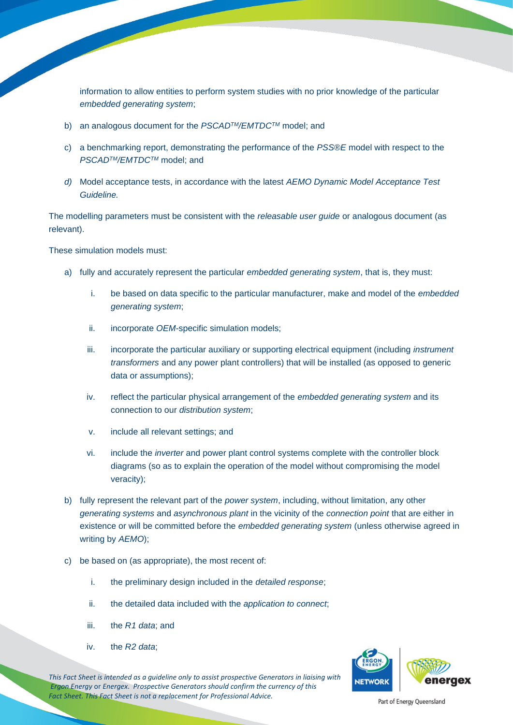information to allow entities to perform system studies with no prior knowledge of the particular *embedded generating system*;

- b) an analogous document for the *PSCADTM/EMTDCTM* model; and
- c) a benchmarking report, demonstrating the performance of the *PSS®E* model with respect to the *PSCADTM/EMTDCTM* model; and
- *d)* Model acceptance tests, in accordance with the latest *AEMO Dynamic Model Acceptance Test Guideline.*

The modelling parameters must be consistent with the *releasable user guide* or analogous document (as relevant).

These simulation models must:

- a) fully and accurately represent the particular *embedded generating system*, that is, they must:
	- i. be based on data specific to the particular manufacturer, make and model of the *embedded generating system*;
	- ii. incorporate *OEM*-specific simulation models;
	- iii. incorporate the particular auxiliary or supporting electrical equipment (including *instrument transformers* and any power plant controllers) that will be installed (as opposed to generic data or assumptions);
	- iv. reflect the particular physical arrangement of the *embedded generating system* and its connection to our *distribution system*;
	- v. include all relevant settings; and
	- vi. include the *inverter* and power plant control systems complete with the controller block diagrams (so as to explain the operation of the model without compromising the model veracity);
- b) fully represent the relevant part of the *power system*, including, without limitation, any other *generating systems* and *asynchronous plant* in the vicinity of the *connection point* that are either in existence or will be committed before the *embedded generating system* (unless otherwise agreed in writing by *AEMO*);
- c) be based on (as appropriate), the most recent of:
	- i. the preliminary design included in the *detailed response*;
	- ii. the detailed data included with the *application to connect*;
	- iii. the *R1 data*; and
	- iv. the *R2 data*;

*This Fact Sheet is intended as a guideline only to assist prospective Generators in liaising with Ergon Energy* or *Energex. Prospective Generators should confirm the currency of this Fact Sheet. This Fact Sheet is not a replacement for Professional Advice.* 

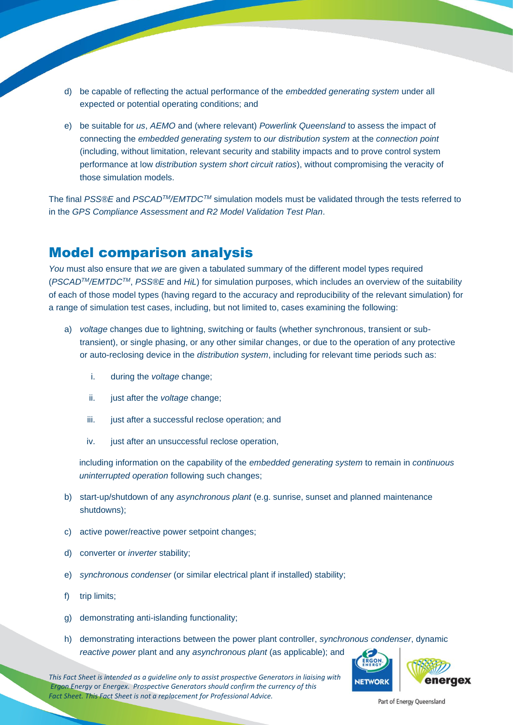- d) be capable of reflecting the actual performance of the *embedded generating system* under all expected or potential operating conditions; and
- e) be suitable for *us*, *AEMO* and (where relevant) *Powerlink Queensland* to assess the impact of connecting the *embedded generating system* to *our distribution system* at the *connection point*  (including, without limitation, relevant security and stability impacts and to prove control system performance at low *distribution system short circuit ratios*), without compromising the veracity of those simulation models.

The final *PSS®E* and *PSCADTM/EMTDCTM* simulation models must be validated through the tests referred to in the *GPS Compliance Assessment and R2 Model Validation Test Plan*.

#### Model comparison analysis

*You* must also ensure that *we* are given a tabulated summary of the different model types required (*PSCADTM/EMTDCTM*, *PSS®E* and *HiL*) for simulation purposes, which includes an overview of the suitability of each of those model types (having regard to the accuracy and reproducibility of the relevant simulation) for a range of simulation test cases, including, but not limited to, cases examining the following:

- a) *voltage* changes due to lightning, switching or faults (whether synchronous, transient or subtransient), or single phasing, or any other similar changes, or due to the operation of any protective or auto-reclosing device in the *distribution system*, including for relevant time periods such as:
	- i. during the *voltage* change;
	- ii. just after the *voltage* change;
	- iii. just after a successful reclose operation; and
	- iv. just after an unsuccessful reclose operation,

including information on the capability of the *embedded generating system* to remain in *continuous uninterrupted operation* following such changes;

- b) start-up/shutdown of any *asynchronous plant* (e.g. sunrise, sunset and planned maintenance shutdowns);
- c) active power/reactive power setpoint changes;
- d) converter or *inverter* stability;
- e) *synchronous condenser* (or similar electrical plant if installed) stability;
- f) trip limits;
- g) demonstrating anti-islanding functionality;
- h) demonstrating interactions between the power plant controller, *synchronous condenser*, dynamic *reactive power* plant and any *asynchronous plant* (as applicable); and

*This Fact Sheet is intended as a guideline only to assist prospective Generators in liaising with Ergon Energy* or *Energex. Prospective Generators should confirm the currency of this Fact Sheet. This Fact Sheet is not a replacement for Professional Advice.* 

**NETWORK** eneraex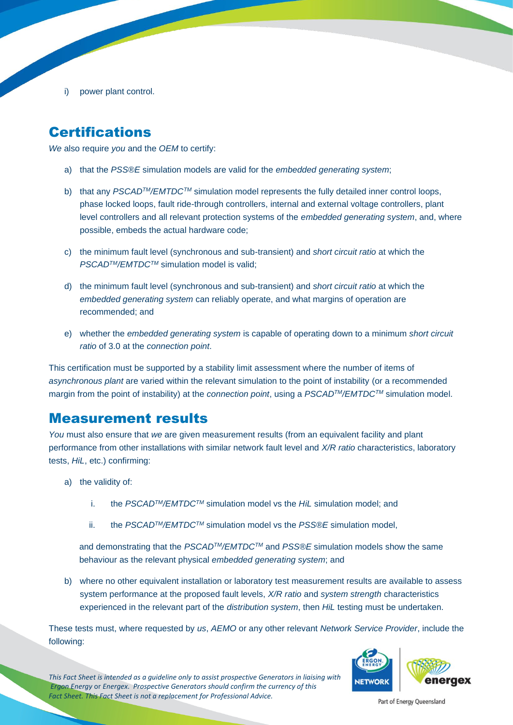i) power plant control.

# **Certifications**

*We* also require *you* and the *OEM* to certify:

- a) that the *PSS®E* simulation models are valid for the *embedded generating system*;
- b) that any *PSCADTM/EMTDCTM* simulation model represents the fully detailed inner control loops, phase locked loops, fault ride-through controllers, internal and external voltage controllers, plant level controllers and all relevant protection systems of the *embedded generating system*, and, where possible, embeds the actual hardware code;
- c) the minimum fault level (synchronous and sub-transient) and *short circuit ratio* at which the *PSCADTM/EMTDCTM* simulation model is valid;
- d) the minimum fault level (synchronous and sub-transient) and *short circuit ratio* at which the *embedded generating system* can reliably operate, and what margins of operation are recommended; and
- e) whether the *embedded generating system* is capable of operating down to a minimum *short circuit ratio* of 3.0 at the *connection point*.

This certification must be supported by a stability limit assessment where the number of items of *asynchronous plant* are varied within the relevant simulation to the point of instability (or a recommended margin from the point of instability) at the *connection point*, using a *PSCADTM/EMTDCTM* simulation model.

### Measurement results

*You* must also ensure that *we* are given measurement results (from an equivalent facility and plant performance from other installations with similar network fault level and *X/R ratio* characteristics, laboratory tests, *HiL*, etc.) confirming:

- a) the validity of:
	- i. the *PSCADTM/EMTDCTM* simulation model vs the *HiL* simulation model; and
	- ii. the *PSCADTM/EMTDCTM* simulation model vs the *PSS®E* simulation model,

and demonstrating that the *PSCADTM/EMTDCTM* and *PSS®E* simulation models show the same behaviour as the relevant physical *embedded generating system*; and

b) where no other equivalent installation or laboratory test measurement results are available to assess system performance at the proposed fault levels, *X/R ratio* and *system strength* characteristics experienced in the relevant part of the *distribution system*, then *HiL* testing must be undertaken.

These tests must, where requested by *us*, *AEMO* or any other relevant *Network Service Provider*, include the following:



*This Fact Sheet is intended as a guideline only to assist prospective Generators in liaising with Ergon Energy* or *Energex. Prospective Generators should confirm the currency of this Fact Sheet. This Fact Sheet is not a replacement for Professional Advice.*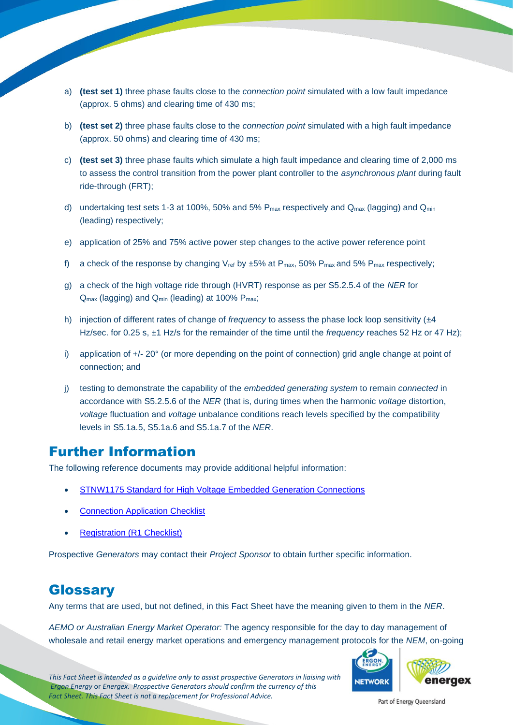- a) **(test set 1)** three phase faults close to the *connection point* simulated with a low fault impedance (approx. 5 ohms) and clearing time of 430 ms;
- b) **(test set 2)** three phase faults close to the *connection point* simulated with a high fault impedance (approx. 50 ohms) and clearing time of 430 ms;
- c) **(test set 3)** three phase faults which simulate a high fault impedance and clearing time of 2,000 ms to assess the control transition from the power plant controller to the *asynchronous plant* during fault ride-through (FRT);
- d) undertaking test sets 1-3 at 100%, 50% and 5%  $P_{\text{max}}$  respectively and  $Q_{\text{max}}$  (lagging) and  $Q_{\text{min}}$ (leading) respectively;
- e) application of 25% and 75% active power step changes to the active power reference point
- f) a check of the response by changing V<sub>ref</sub> by  $\pm 5\%$  at P<sub>max</sub>, 50% P<sub>max</sub> and 5% P<sub>max</sub> respectively;
- g) a check of the high voltage ride through (HVRT) response as per S5.2.5.4 of the *NER* for Q<sub>max</sub> (lagging) and Q<sub>min</sub> (leading) at 100% P<sub>max</sub>;
- h) injection of different rates of change of *frequency* to assess the phase lock loop sensitivity ( $\pm 4$ Hz/sec. for 0.25 s, ±1 Hz/s for the remainder of the time until the *frequency* reaches 52 Hz or 47 Hz);
- i) application of  $+/- 20^{\circ}$  (or more depending on the point of connection) grid angle change at point of connection; and
- j) testing to demonstrate the capability of the *embedded generating system* to remain *connected* in accordance with S5.2.5.6 of the *NER* (that is, during times when the harmonic *voltage* distortion, *voltage* fluctuation and *voltage* unbalance conditions reach levels specified by the compatibility levels in S5.1a.5, S5.1a.6 and S5.1a.7 of the *NER*.

## Further Information

The following reference documents may provide additional helpful information:

- [STNW1175 Standard for High Voltage Embedded Generation Connections](https://www.ergon.com.au/__data/assets/pdf_file/0007/671830/STNW1175-Standard-for-HV-EG-Connections.pdf)
- **[Connection Application Checklist](https://www.ergon.com.au/__data/assets/excel_doc/0016/821500/Customer-Application-Checklist-and-GPS-Issues-Register-EGs-Over-5MW-Under-5.3A.xlsx)**
- **[Registration \(R1 Checklist\)](https://www.ergon.com.au/__data/assets/excel_doc/0017/821501/Customer-R1-Checklist-and-Issues-Register-EGs-Over-5MW-Under-5.3A.xlsx)**

Prospective *Generators* may contact their *Project Sponsor* to obtain further specific information.

### Glossary

Any terms that are used, but not defined, in this Fact Sheet have the meaning given to them in the *NER*.

*AEMO or Australian Energy Market Operator:* The agency responsible for the day to day management of wholesale and retail energy market operations and emergency management protocols for the *NEM*, on-going



*This Fact Sheet is intended as a guideline only to assist prospective Generators in liaising with Ergon Energy* or *Energex. Prospective Generators should confirm the currency of this Fact Sheet. This Fact Sheet is not a replacement for Professional Advice.*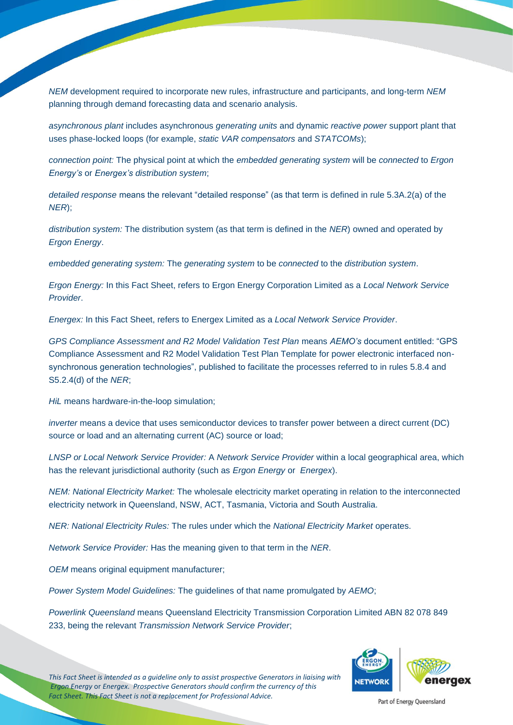*NEM* development required to incorporate new rules, infrastructure and participants, and long-term *NEM* planning through demand forecasting data and scenario analysis.

*asynchronous plant* includes asynchronous *generating units* and dynamic *reactive power* support plant that uses phase-locked loops (for example, *static VAR compensators* and *STATCOMs*);

*connection point:* The physical point at which the *embedded generating system* will be *connected* to *Ergon Energy's* or *Energex's distribution system*;

*detailed response* means the relevant "detailed response" (as that term is defined in rule 5.3A.2(a) of the *NER*);

*distribution system:* The distribution system (as that term is defined in the *NER*) owned and operated by *Ergon Energy*.

*embedded generating system:* The *generating system* to be *connected* to the *distribution system*.

*Ergon Energy:* In this Fact Sheet, refers to Ergon Energy Corporation Limited as a *Local Network Service Provider*.

*Energex:* In this Fact Sheet, refers to Energex Limited as a *Local Network Service Provider*.

*GPS Compliance Assessment and R2 Model Validation Test Plan* means *AEMO's* document entitled: "GPS Compliance Assessment and R2 Model Validation Test Plan Template for power electronic interfaced nonsynchronous generation technologies", published to facilitate the processes referred to in rules 5.8.4 and S5.2.4(d) of the *NER*;

*HiL* means hardware-in-the-loop simulation;

*inverter* means a device that uses semiconductor devices to transfer power between a direct current (DC) source or load and an alternating current (AC) source or load;

*LNSP or Local Network Service Provider:* A *Network Service Provider* within a local geographical area, which has the relevant jurisdictional authority (such as *Ergon Energy* or *Energex*).

*NEM: National Electricity Market:* The wholesale electricity market operating in relation to the interconnected electricity network in Queensland, NSW, ACT, Tasmania, Victoria and South Australia.

*NER: National Electricity Rules:* The rules under which the *National Electricity Market* operates.

*Network Service Provider:* Has the meaning given to that term in the *NER*.

*OEM* means original equipment manufacturer;

*Power System Model Guidelines:* The guidelines of that name promulgated by *AEMO*;

*Powerlink Queensland* means Queensland Electricity Transmission Corporation Limited ABN 82 078 849 233, being the relevant *Transmission Network Service Provider*;



*This Fact Sheet is intended as a guideline only to assist prospective Generators in liaising with Ergon Energy* or *Energex. Prospective Generators should confirm the currency of this Fact Sheet. This Fact Sheet is not a replacement for Professional Advice.*